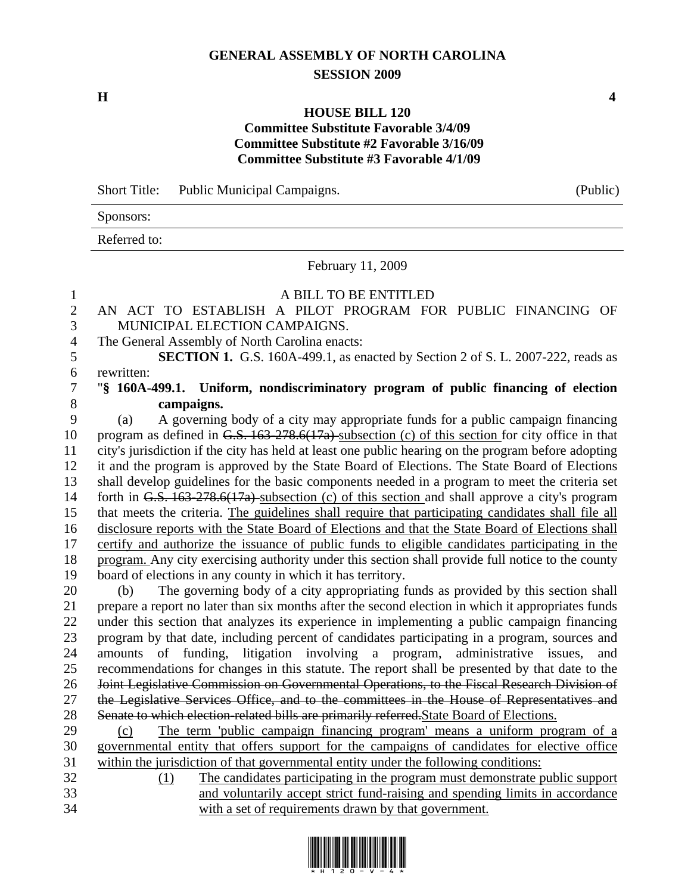## **GENERAL ASSEMBLY OF NORTH CAROLINA SESSION 2009**

**H** 4

## **HOUSE BILL 120 Committee Substitute Favorable 3/4/09 Committee Substitute #2 Favorable 3/16/09 Committee Substitute #3 Favorable 4/1/09**

Short Title: Public Municipal Campaigns. (Public)

| DIJULU TIULU.<br>T abiic maincipal campaigns. | $(1 \text{ and }$ |
|-----------------------------------------------|-------------------|
| Sponsors:                                     |                   |
| Referred to:                                  |                   |
| February 11, 2009                             |                   |
| A BILL TO BE ENTITLED                         |                   |

- 2 AN ACT TO ESTABLISH A PILOT PROGRAM FOR PUBLIC FINANCING OF 3 MUNICIPAL ELECTION CAMPAIGNS.
- 4 The General Assembly of North Carolina enacts:

5 **SECTION 1.** G.S. 160A-499.1, as enacted by Section 2 of S. L. 2007-222, reads as 6 rewritten:

7 "**§ 160A-499.1. Uniform, nondiscriminatory program of public financing of election**  8 **campaigns.** 

9 (a) A governing body of a city may appropriate funds for a public campaign financing 10 program as defined in G.S. 163-278.6(17a) subsection (c) of this section for city office in that 11 city's jurisdiction if the city has held at least one public hearing on the program before adopting 12 it and the program is approved by the State Board of Elections. The State Board of Elections 13 shall develop guidelines for the basic components needed in a program to meet the criteria set 14 forth in G.S. 163-278.6(17a) subsection (c) of this section and shall approve a city's program 15 that meets the criteria. The guidelines shall require that participating candidates shall file all 16 disclosure reports with the State Board of Elections and that the State Board of Elections shall 17 certify and authorize the issuance of public funds to eligible candidates participating in the 18 program. Any city exercising authority under this section shall provide full notice to the county 19 board of elections in any county in which it has territory.

20 (b) The governing body of a city appropriating funds as provided by this section shall 21 prepare a report no later than six months after the second election in which it appropriates funds 22 under this section that analyzes its experience in implementing a public campaign financing 23 program by that date, including percent of candidates participating in a program, sources and 24 amounts of funding, litigation involving a program, administrative issues, and 25 recommendations for changes in this statute. The report shall be presented by that date to the 26 Joint Legislative Commission on Governmental Operations, to the Fiscal Research Division of 27 the Legislative Services Office, and to the committees in the House of Representatives and 28 Senate to which election-related bills are primarily referred. State Board of Elections.

- 29 (c) The term 'public campaign financing program' means a uniform program of a 30 governmental entity that offers support for the campaigns of candidates for elective office 31 within the jurisdiction of that governmental entity under the following conditions:
- 32 (1) The candidates participating in the program must demonstrate public support 33 and voluntarily accept strict fund-raising and spending limits in accordance 34 with a set of requirements drawn by that government.